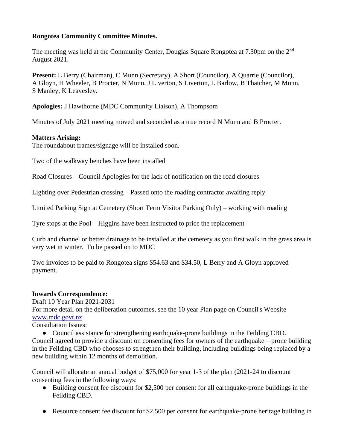### **Rongotea Community Committee Minutes.**

The meeting was held at the Community Center, Douglas Square Rongotea at 7.30pm on the 2<sup>nd</sup> August 2021.

**Present:** L Berry (Chairman), C Munn (Secretary), A Short (Councilor), A Quarrie (Councilor), A Gloyn, H Wheeler, B Procter, N Munn, J Liverton, S Liverton, L Barlow, B Thatcher, M Munn, S Manley, K Leavesley.

**Apologies:** J Hawthorne (MDC Community Liaison), A Thompsom

Minutes of July 2021 meeting moved and seconded as a true record N Munn and B Procter.

# **Matters Arising:**

The roundabout frames/signage will be installed soon.

Two of the walkway benches have been installed

Road Closures – Council Apologies for the lack of notification on the road closures

Lighting over Pedestrian crossing – Passed onto the roading contractor awaiting reply

Limited Parking Sign at Cemetery (Short Term Visitor Parking Only) – working with roading

Tyre stops at the Pool – Higgins have been instructed to price the replacement

Curb and channel or better drainage to be installed at the cemetery as you first walk in the grass area is very wet in winter. To be passed on to MDC

Two invoices to be paid to Rongotea signs \$54.63 and \$34.50, L Berry and A Gloyn approved payment.

### **Inwards Correspondence:**

Draft 10 Year Plan 2021-2031

For more detail on the deliberation outcomes, see the 10 year Plan page on Council's Website [www.mdc.govt.nz](http://www.mdc.govt.nz/)

Consultation Issues:

• Council assistance for strengthening earthquake-prone buildings in the Feilding CBD. Council agreed to provide a discount on consenting fees for owners of the earthquake—prone building in the Feilding CBD who chooses to strengthen their building, including buildings being replaced by a new building within 12 months of demolition.

Council will allocate an annual budget of \$75,000 for year 1-3 of the plan (2021-24 to discount consenting fees in the following ways:

- Building consent fee discount for \$2,500 per consent for all earthquake-prone buildings in the Feilding CBD.
- Resource consent fee discount for \$2,500 per consent for earthquake-prone heritage building in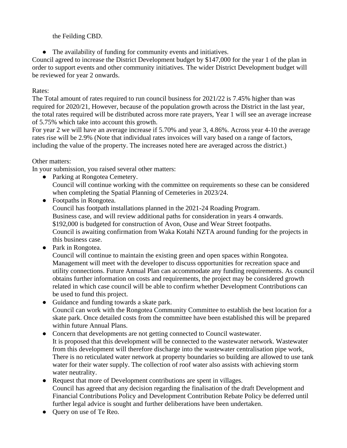the Feilding CBD.

● The availability of funding for community events and initiatives.

Council agreed to increase the District Development budget by \$147,000 for the year 1 of the plan in order to support events and other community initiatives. The wider District Development budget will be reviewed for year 2 onwards.

## Rates:

The Total amount of rates required to run council business for 2021/22 is 7.45% higher than was required for 2020/21, However, because of the population growth across the District in the last year, the total rates required will be distributed across more rate prayers, Year 1 will see an average increase of 5.75% which take into account this growth.

For year 2 we will have an average increase if 5.70% and year 3, 4.86%. Across year 4-10 the average rates rise will be 2.9% (Note that individual rates invoices will vary based on a range of factors, including the value of the property. The increases noted here are averaged across the district.)

### Other matters:

In your submission, you raised several other matters:

• Parking at Rongotea Cemetery. Council will continue working with the committee on requirements so these can be considered when completing the Spatial Planning of Cemeteries in 2023/24.

• Footpaths in Rongotea. Council has footpath installations planned in the 2021-24 Roading Program. Business case, and will review additional paths for consideration in years 4 onwards. \$192,000 is budgeted for construction of Avon, Ouse and Wear Street footpaths. Council is awaiting confirmation from Waka Kotahi NZTA around funding for the projects in this business case.

● Park in Rongotea.

Council will continue to maintain the existing green and open spaces within Rongotea. Management will meet with the developer to discuss opportunities for recreation space and utility connections. Future Annual Plan can accommodate any funding requirements. As council obtains further information on costs and requirements, the project may be considered growth related in which case council will be able to confirm whether Development Contributions can be used to fund this project.

- Guidance and funding towards a skate park. Council can work with the Rongotea Community Committee to establish the best location for a skate park. Once detailed costs from the committee have been established this will be prepared within future Annual Plans.
- Concern that developments are not getting connected to Council wastewater. It is proposed that this development will be connected to the wastewater network. Wastewater from this development will therefore discharge into the wastewater centralisation pipe work, There is no reticulated water network at property boundaries so building are allowed to use tank water for their water supply. The collection of roof water also assists with achieving storm water neutrality.
- Request that more of Development contributions are spent in villages. Council has agreed that any decision regarding the finalisation of the draft Development and Financial Contributions Policy and Development Contribution Rebate Policy be deferred until further legal advice is sought and further deliberations have been undertaken.
- Query on use of Te Reo.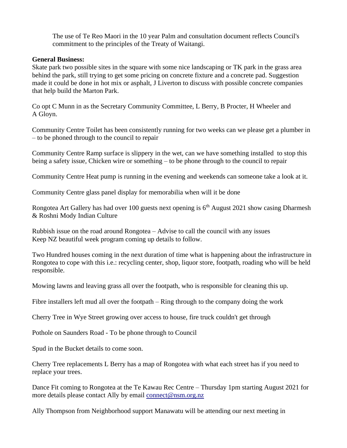The use of Te Reo Maori in the 10 year Palm and consultation document reflects Council's commitment to the principles of the Treaty of Waitangi.

#### **General Business:**

Skate park two possible sites in the square with some nice landscaping or TK park in the grass area behind the park, still trying to get some pricing on concrete fixture and a concrete pad. Suggestion made it could be done in hot mix or asphalt, J Liverton to discuss with possible concrete companies that help build the Marton Park.

Co opt C Munn in as the Secretary Community Committee, L Berry, B Procter, H Wheeler and A Gloyn.

Community Centre Toilet has been consistently running for two weeks can we please get a plumber in – to be phoned through to the council to repair

Community Centre Ramp surface is slippery in the wet, can we have something installed to stop this being a safety issue, Chicken wire or something – to be phone through to the council to repair

Community Centre Heat pump is running in the evening and weekends can someone take a look at it.

Community Centre glass panel display for memorabilia when will it be done

Rongotea Art Gallery has had over 100 guests next opening is 6<sup>th</sup> August 2021 show casing Dharmesh & Roshni Mody Indian Culture

Rubbish issue on the road around Rongotea – Advise to call the council with any issues Keep NZ beautiful week program coming up details to follow.

Two Hundred houses coming in the next duration of time what is happening about the infrastructure in Rongotea to cope with this i.e.: recycling center, shop, liquor store, footpath, roading who will be held responsible.

Mowing lawns and leaving grass all over the footpath, who is responsible for cleaning this up.

Fibre installers left mud all over the footpath – Ring through to the company doing the work

Cherry Tree in Wye Street growing over access to house, fire truck couldn't get through

Pothole on Saunders Road - To be phone through to Council

Spud in the Bucket details to come soon.

Cherry Tree replacements L Berry has a map of Rongotea with what each street has if you need to replace your trees.

Dance Fit coming to Rongotea at the Te Kawau Rec Centre – Thursday 1pm starting August 2021 for more details please contact Ally by email [connect@nsm.org.nz](mailto:connect@nsm.org.nz)

Ally Thompson from Neighborhood support Manawatu will be attending our next meeting in